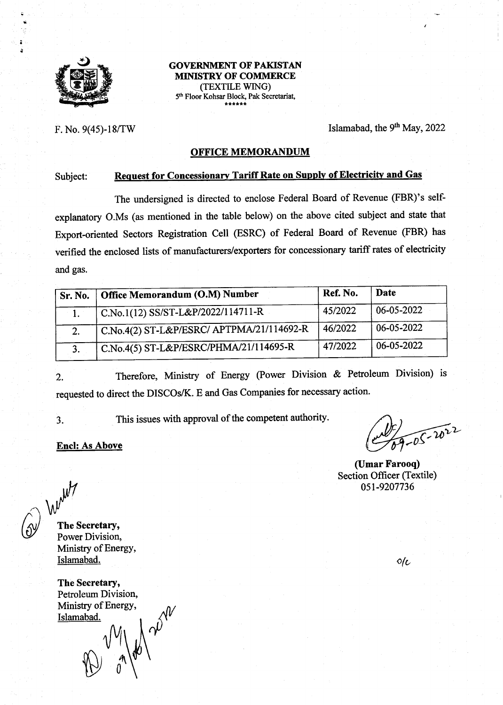

t

:

**GOVERNMENT OF PAKISTAN** MIMSTRY OF COMMERCE (TEXTTLE WING) 5<sup>th</sup> Floor Kohsar Block, Pak Secretariat,

F. No. 9(45)-18/TW Islamabad, the 9<sup>th</sup> May, 2022

### OFFICE MEMORANDUM

### Subject: Request for Concessionary Tariff Rate on Supply of Electricity and Gas

The undersigned is directed to enclose Federal Board of Revenue (FBR)'s selfexplanatory O.Ms (as mentioned in the table below) on the above cited subject and state that Export-oriented Sectors Registration Cell (ESRC) of Federal Board of Revenue (FBR) has verified the enclosed lists of manufacturers/exporters for concessionary tariff rates of electricity and gas.

| Sr. No. | Office Memorandum (O.M) Number            | Ref. No. | Date       |
|---------|-------------------------------------------|----------|------------|
|         | $C.No.1(12)$ SS/ST-L&P/2022/114711-R      | 45/2022  | 06-05-2022 |
|         | C.No.4(2) ST-L&P/ESRC/ APTPMA/21/114692-R | 46/2022  | 06-05-2022 |
|         | C.No.4(5) ST-L&P/ESRC/PHMA/21/114695-R    | 47/2022  | 06-05-2022 |

2. Therefore, Ministry of Energy (Power Division & Petroleum Division) is requested to direct the DISCOs/K. E and Gas Companies for necessary action.

3. This issues with approval of the competent authority.

#### Encl: As Above

 $-2022$ 

(Umar Farooq) Section Officer (Textile) 0sl-9207736

Went The Secretary,

Power Division, Ministry of EnergY, Islamabad. Oltakin and the set of the set of the set of the set of the set of the set of the set of the set of the set of the set of the set of the set of the set of the set of the set of the set of the set of the set of t

The Secretary, Petroleum Division,<br>Ministry of Energy, Islamabad.

180 2012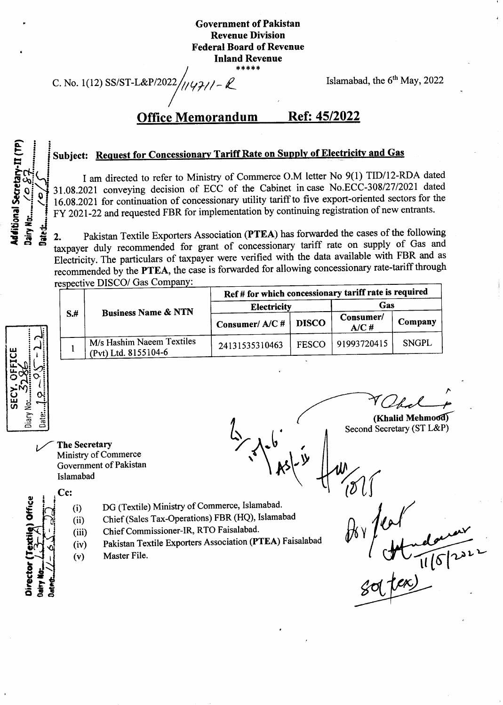### Government of Pakistan Revenue Division Federal Board of Revenue Inland Revenue \*\*\*\*\*

C. No. 1(12) SS/ST-L&P/2022

 $\mathcal{L}_1/\mathcal{L}_2/\mathcal{L}-\mathcal{L}$  Islamabad, the 6<sup>th</sup> May, 2022

.)

# Office Memorandum Ref: 45/2022

# Subject: Request for Concessionary Tariff Rate on Supply of Electricity and Gas

I am directed to refer to Ministry of Commerce O.M letter No 9(1) TID/I2-RDA dated 31.OB.ZOZ1 conveying decision of ECC of the Cabinet in case No.ECC-30812712021 dated 16.0g.202l for continuation of concessionary utility tariff to five export-oriented sectors for the FY 2021-22 and requested FBR for implementation by continuing registration of new entrants.

2. Pakistan Textile Exporters Association (PTEA) has forwarded the cases of the following taxpayer duly recommended for grant of concessionary tariff rate on supply of Gas and Electricity. The particulars of taxpayer were verified with the data available with FBR and as recommended by the PTEA, the case is forwarded for allowing concessionary rate-tariff through respective DISCO/ Gas Company:  $A = AB$  and  $A = BA$ 

| OFFICE<br><b>SECY</b> |
|-----------------------|
|-----------------------|

o t, ð

I.. L

I oL ā

h C

0

0

<u>ا:</u> date<br>Date

o. F

Secretary-II

itional

tra<br>S

Ē  $\bar{\mathbf{z}}$ 

| $S+$ | <b>Business Name &amp; NTN</b>                    | Ref # for which concessionary tariff rate is required |              |                   |              |  |
|------|---------------------------------------------------|-------------------------------------------------------|--------------|-------------------|--------------|--|
|      |                                                   | <b>Electricity</b>                                    |              | Gas               |              |  |
|      |                                                   | Consumer/A/C#                                         | <b>DISCO</b> | Consumer/<br>A/C# | Company      |  |
|      | M/s Hashim Naeem Textiles<br>(Pvt) Ltd. 8155104-6 | 24131535310463                                        | <b>FESCO</b> | 91993720415       | <b>SNGPL</b> |  |
|      |                                                   |                                                       |              |                   |              |  |

The Secretary Ministry of Commerce Government of Pakistan Islamabad

 $\frac{1}{2}$  $\mathcal{K}^{\geq}$ **d** I v (

 $(Khalid Mehmod)$ 

Second Secretary (ST L&P)

- Cc: (i)  $(ii)$ (iii) (iv) (v)
	- DG (Textile) Ministry of Commerce, Islamabad.
	- Chief (Sales Tax-Operations) FBR (HQ), Islamabad
	- Chief Commissioner-IR, RTO Faisalabad'
	- pakistan Textile Exporters Association (PTEA) Faisalabad
	- Master File.

 $\not\!\! D$ b Y  $\frac{1}{2}$  (v) Master File.<br> $\frac{1}{2}$  (v) Master File.<br> $\frac{1}{2}$  (v) Master File.  $\frac{1}{6}$   $\frac{1}{6}$   $\frac{1}{6}$   $\frac{1}{6}$   $\frac{1}{6}$   $\frac{1}{6}$   $\frac{1}{6}$   $\frac{1}{6}$   $\frac{1}{6}$   $\frac{1}{6}$   $\frac{1}{6}$   $\frac{1}{6}$   $\frac{1}{6}$   $\frac{1}{6}$   $\frac{1}{6}$   $\frac{1}{6}$   $\frac{1}{6}$   $\frac{1}{6}$   $\frac{1}{6}$   $\frac{1}{6}$   $\frac{1}{6}$   $\frac{1}{6}$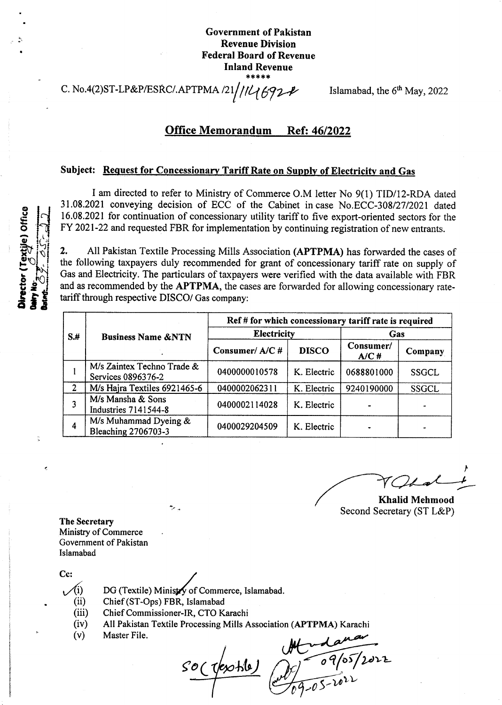Government of Pakistan Revenue Division Federal Board of Revenue Inland Revenue {.!f\*!f\*

C. No.4(2)ST-LP&P/ESRC/.APTPMA /21/146924

Islamabad, the  $6<sup>th</sup>$  May, 2022

### Office Memorandum Ref: 46/2022

### Subject: Request for Concessionary Tariff Rate on Supply of Electricity and Gas

I am directed to refer to Ministry of Commerce O.M letter No 9(1) TID/I2-RDA dated 31.08.2021 conveying decision of ECC of the Cabinet incase No.ECC-30812712021 dated 16.08.2021 for continuation of concessionary utility tariff to five export-oriented sectors for the FY 2021-22 and requested FBR for implementation by continuing registration of new entrants.

2. All Pakistan Textile Processing Mills Association (APTPMA) has forwarded the cases of the following taxpayers duly recommended for grant of concessionary tariff rate on supply of Gas and Electricity. The particulars of taxpayers were verified with the data available with FBR and as recommended by the APTPMA, the cases are forwarded for allowing concessionary ratetariff through respective DISCO/ Gas company:

|                | <b>Business Name &amp;NTN</b>                    | Ref # for which concessionary tariff rate is required |              |                   |              |  |
|----------------|--------------------------------------------------|-------------------------------------------------------|--------------|-------------------|--------------|--|
| $S+$           |                                                  | <b>Electricity</b>                                    |              | Gas               |              |  |
|                |                                                  | Consumer/A/C#                                         | <b>DISCO</b> | Consumer/<br>A/CH | Company      |  |
|                | M/s Zaintex Techno Trade &<br>Services 0896376-2 | 0400000010578                                         | K. Electric  | 0688801000        | SSGCL        |  |
| $\overline{2}$ | M/s Hajra Textiles 6921465-6                     | 0400002062311                                         | K. Electric  | 9240190000        | <b>SSGCL</b> |  |
|                | M/s Mansha & Sons<br><b>Industries 7141544-8</b> | 0400002114028                                         | K. Electric  |                   |              |  |
| 4              | M/s Muhammad Dyeing &<br>Bleaching 2706703-3     | 0400029204509                                         | K. Electric  |                   |              |  |

I Khalid Mehmood

Second Secretary (ST L&P)

The Secretary Ministry of Commerce Government of Pakistan Islamabad

Cc:<br> $\sqrt{i}$ 

- DG (Textile) Ministry of Commerce, Islamabad.
- (ii) Chief (ST-Ops) FBR, lslamabad
- (iii) Chief Commissioner-IR, CTO Karachi
- (iv) All Pakistan Textile Processing Mills Association (APTPMA) Karachi
- (v) Master File.

 $\mathcal{H}(\mathcal{A})$ 

 $SO($  resolute  $\sqrt{g}$  o 9/05/2022  $69 - 05 - 1022$ 



a